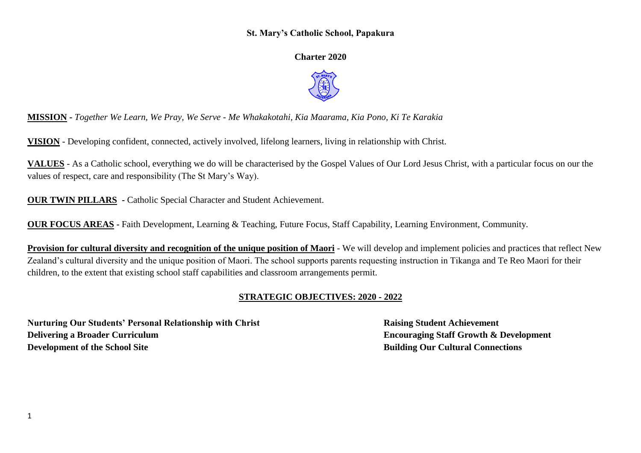## **St. Mary's Catholic School, Papakura**

**Charter 2020**



**MISSION -** *Together We Learn, We Pray, We Serve - Me Whakakotahi, Kia Maarama, Kia Pono, Ki Te Karakia*

**VISION** - Developing confident, connected, actively involved, lifelong learners, living in relationship with Christ.

**VALUES** - As a Catholic school, everything we do will be characterised by the Gospel Values of Our Lord Jesus Christ, with a particular focus on our the values of respect, care and responsibility (The St Mary's Way).

**OUR TWIN PILLARS -** Catholic Special Character and Student Achievement.

**OUR FOCUS AREAS -** Faith Development, Learning & Teaching, Future Focus, Staff Capability, Learning Environment, Community.

**Provision for cultural diversity and recognition of the unique position of Maori** - We will develop and implement policies and practices that reflect New Zealand's cultural diversity and the unique position of Maori. The school supports parents requesting instruction in Tikanga and Te Reo Maori for their children, to the extent that existing school staff capabilities and classroom arrangements permit.

## **STRATEGIC OBJECTIVES: 2020 - 2022**

**Nurturing Our Students' Personal Relationship with Christ Raising Student Achievement Delivering a Broader Curriculum Encouraging Staff Growth & Development Development of the School Site Building Our Cultural Connections**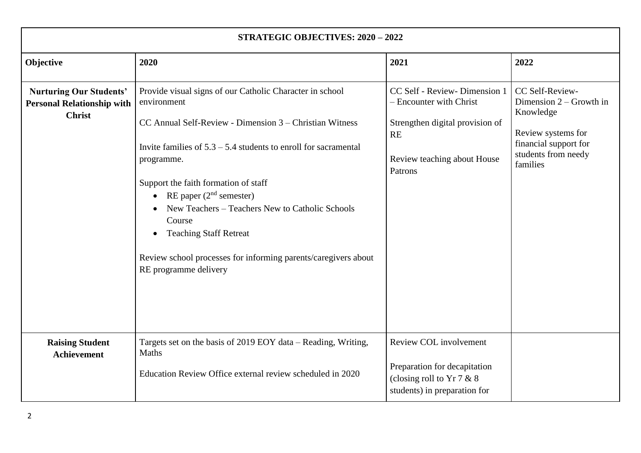| <b>STRATEGIC OBJECTIVES: 2020 - 2022</b>                                             |                                                                                                                                                                                                                                                                                                                                                                                                                                                                                                    |                                                                                                                                             |                                                                                                                                             |  |  |  |  |
|--------------------------------------------------------------------------------------|----------------------------------------------------------------------------------------------------------------------------------------------------------------------------------------------------------------------------------------------------------------------------------------------------------------------------------------------------------------------------------------------------------------------------------------------------------------------------------------------------|---------------------------------------------------------------------------------------------------------------------------------------------|---------------------------------------------------------------------------------------------------------------------------------------------|--|--|--|--|
| Objective                                                                            | 2020                                                                                                                                                                                                                                                                                                                                                                                                                                                                                               | 2021                                                                                                                                        | 2022                                                                                                                                        |  |  |  |  |
| <b>Nurturing Our Students'</b><br><b>Personal Relationship with</b><br><b>Christ</b> | Provide visual signs of our Catholic Character in school<br>environment<br>CC Annual Self-Review - Dimension 3 – Christian Witness<br>Invite families of $5.3 - 5.4$ students to enroll for sacramental<br>programme.<br>Support the faith formation of staff<br>• RE paper $(2nd$ semester)<br>New Teachers – Teachers New to Catholic Schools<br>Course<br><b>Teaching Staff Retreat</b><br>$\bullet$<br>Review school processes for informing parents/caregivers about<br>RE programme delivery | CC Self - Review- Dimension 1<br>- Encounter with Christ<br>Strengthen digital provision of<br>RE<br>Review teaching about House<br>Patrons | CC Self-Review-<br>Dimension $2 -$ Growth in<br>Knowledge<br>Review systems for<br>financial support for<br>students from needy<br>families |  |  |  |  |
| <b>Raising Student</b><br><b>Achievement</b>                                         | Targets set on the basis of 2019 EOY data - Reading, Writing,<br>Maths                                                                                                                                                                                                                                                                                                                                                                                                                             | Review COL involvement                                                                                                                      |                                                                                                                                             |  |  |  |  |
|                                                                                      | Education Review Office external review scheduled in 2020                                                                                                                                                                                                                                                                                                                                                                                                                                          | Preparation for decapitation<br>(closing roll to $Yr7 & 8$<br>students) in preparation for                                                  |                                                                                                                                             |  |  |  |  |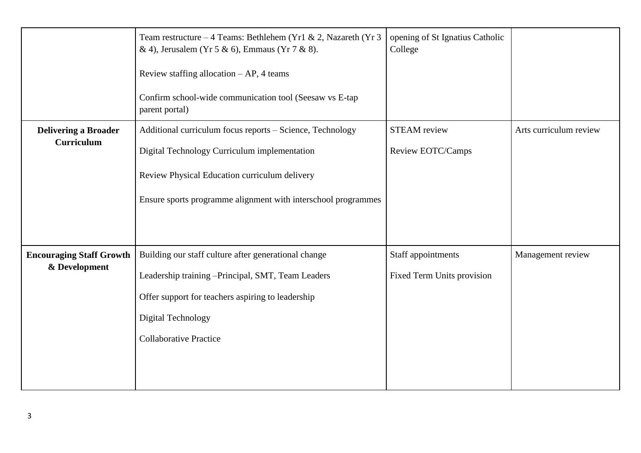|                                                  | Team restructure – 4 Teams: Bethlehem (Yr1 & 2, Nazareth (Yr 3<br>& 4), Jerusalem (Yr 5 & 6), Emmaus (Yr 7 & 8).<br>Review staffing allocation $- AP$ , 4 teams<br>Confirm school-wide communication tool (Seesaw vs E-tap<br>parent portal) | opening of St Ignatius Catholic<br>College       |                        |
|--------------------------------------------------|----------------------------------------------------------------------------------------------------------------------------------------------------------------------------------------------------------------------------------------------|--------------------------------------------------|------------------------|
| <b>Delivering a Broader</b><br><b>Curriculum</b> | Additional curriculum focus reports - Science, Technology<br>Digital Technology Curriculum implementation<br>Review Physical Education curriculum delivery<br>Ensure sports programme alignment with interschool programmes                  | <b>STEAM</b> review<br>Review EOTC/Camps         | Arts curriculum review |
| <b>Encouraging Staff Growth</b><br>& Development | Building our staff culture after generational change<br>Leadership training -Principal, SMT, Team Leaders<br>Offer support for teachers aspiring to leadership<br>Digital Technology<br><b>Collaborative Practice</b>                        | Staff appointments<br>Fixed Term Units provision | Management review      |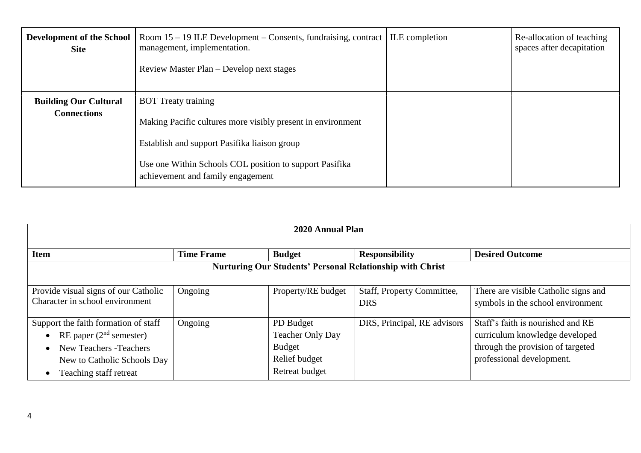| <b>Development of the School</b><br><b>Site</b>    | Room $15 - 19$ ILE Development – Consents, fundraising, contract   ILE completion<br>management, implementation.<br>Review Master Plan – Develop next stages                                                                              | Re-allocation of teaching<br>spaces after decapitation |
|----------------------------------------------------|-------------------------------------------------------------------------------------------------------------------------------------------------------------------------------------------------------------------------------------------|--------------------------------------------------------|
| <b>Building Our Cultural</b><br><b>Connections</b> | <b>BOT</b> Treaty training<br>Making Pacific cultures more visibly present in environment<br>Establish and support Pasifika liaison group<br>Use one Within Schools COL position to support Pasifika<br>achievement and family engagement |                                                        |

| 2020 Annual Plan                                                                                                                                                   |                   |                                                                                          |                                          |                                                                                                                                       |  |  |
|--------------------------------------------------------------------------------------------------------------------------------------------------------------------|-------------------|------------------------------------------------------------------------------------------|------------------------------------------|---------------------------------------------------------------------------------------------------------------------------------------|--|--|
| <b>Item</b>                                                                                                                                                        | <b>Time Frame</b> | <b>Budget</b>                                                                            | <b>Responsibility</b>                    | <b>Desired Outcome</b>                                                                                                                |  |  |
| <b>Nurturing Our Students' Personal Relationship with Christ</b>                                                                                                   |                   |                                                                                          |                                          |                                                                                                                                       |  |  |
| Provide visual signs of our Catholic<br>Character in school environment                                                                                            | Ongoing           | Property/RE budget                                                                       | Staff, Property Committee,<br><b>DRS</b> | There are visible Catholic signs and<br>symbols in the school environment                                                             |  |  |
| Support the faith formation of staff<br>RE paper $(2nd$ semester)<br>New Teachers - Teachers<br>$\bullet$<br>New to Catholic Schools Day<br>Teaching staff retreat | Ongoing           | PD Budget<br><b>Teacher Only Day</b><br><b>Budget</b><br>Relief budget<br>Retreat budget | DRS, Principal, RE advisors              | Staff's faith is nourished and RE<br>curriculum knowledge developed<br>through the provision of targeted<br>professional development. |  |  |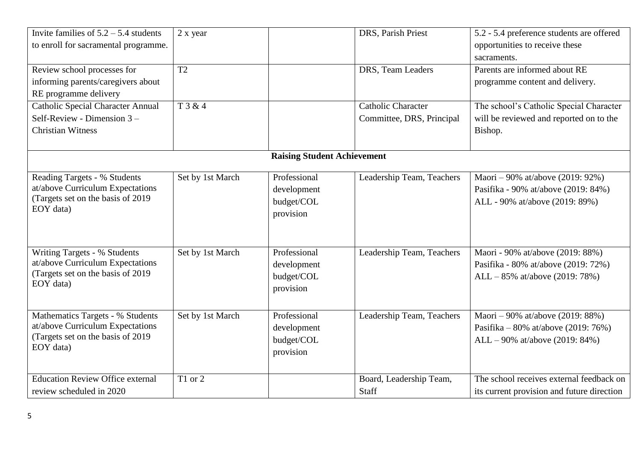| Invite families of $5.2 - 5.4$ students<br>to enroll for sacramental programme. | 2 x year         |                                    | DRS, Parish Priest        | 5.2 - 5.4 preference students are offered<br>opportunities to receive these |
|---------------------------------------------------------------------------------|------------------|------------------------------------|---------------------------|-----------------------------------------------------------------------------|
|                                                                                 |                  |                                    |                           | sacraments.                                                                 |
| Review school processes for                                                     | T2               |                                    | DRS, Team Leaders         | Parents are informed about RE                                               |
| informing parents/caregivers about                                              |                  |                                    |                           | programme content and delivery.                                             |
| RE programme delivery                                                           |                  |                                    |                           |                                                                             |
| <b>Catholic Special Character Annual</b>                                        | T 3 & 4          |                                    | Catholic Character        | The school's Catholic Special Character                                     |
| Self-Review - Dimension $3 -$                                                   |                  |                                    | Committee, DRS, Principal | will be reviewed and reported on to the                                     |
| <b>Christian Witness</b>                                                        |                  |                                    |                           | Bishop.                                                                     |
|                                                                                 |                  |                                    |                           |                                                                             |
|                                                                                 |                  | <b>Raising Student Achievement</b> |                           |                                                                             |
| Reading Targets - % Students                                                    | Set by 1st March | Professional                       | Leadership Team, Teachers | Maori – 90% at/above (2019: 92%)                                            |
| at/above Curriculum Expectations                                                |                  | development                        |                           | Pasifika - 90% at/above (2019: 84%)                                         |
| (Targets set on the basis of 2019)                                              |                  | budget/COL                         |                           | ALL - 90% at/above (2019: 89%)                                              |
| EOY data)                                                                       |                  | provision                          |                           |                                                                             |
|                                                                                 |                  |                                    |                           |                                                                             |
|                                                                                 |                  |                                    |                           |                                                                             |
| Writing Targets - % Students                                                    | Set by 1st March | Professional                       | Leadership Team, Teachers | Maori - 90% at/above (2019: 88%)                                            |
| at/above Curriculum Expectations                                                |                  | development                        |                           | Pasifika - 80% at/above (2019: 72%)                                         |
| (Targets set on the basis of 2019                                               |                  | budget/COL                         |                           | $ALL - 85\%$ at/above (2019: 78%)                                           |
| EOY data)                                                                       |                  | provision                          |                           |                                                                             |
|                                                                                 |                  |                                    |                           |                                                                             |
| Mathematics Targets - % Students                                                | Set by 1st March | Professional                       | Leadership Team, Teachers | Maori – 90% at/above (2019: 88%)                                            |
| at/above Curriculum Expectations                                                |                  | development                        |                           | Pasifika – 80% at/above (2019: 76%)                                         |
| (Targets set on the basis of 2019)                                              |                  | budget/COL                         |                           | $ALL - 90\%$ at/above (2019: 84%)                                           |
| EOY data)                                                                       |                  | provision                          |                           |                                                                             |
|                                                                                 |                  |                                    |                           |                                                                             |
| <b>Education Review Office external</b>                                         | T1 or 2          |                                    | Board, Leadership Team,   | The school receives external feedback on                                    |
| review scheduled in 2020                                                        |                  |                                    | Staff                     | its current provision and future direction                                  |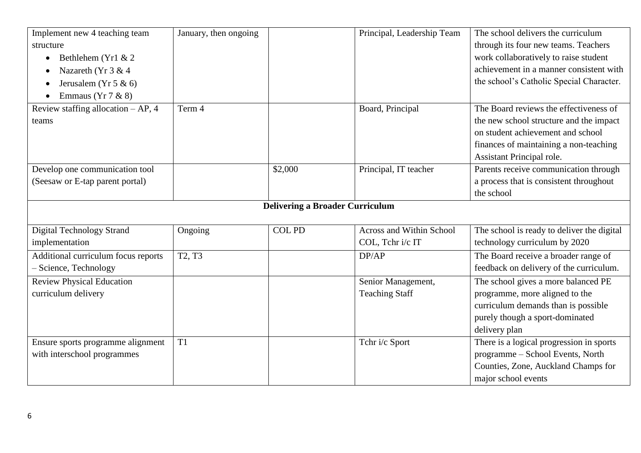| Implement new 4 teaching team        | January, then ongoing           |                                        | Principal, Leadership Team | The school delivers the curriculum         |
|--------------------------------------|---------------------------------|----------------------------------------|----------------------------|--------------------------------------------|
| structure                            |                                 |                                        |                            | through its four new teams. Teachers       |
| Bethlehem (Yr1 & 2<br>$\bullet$      |                                 |                                        |                            | work collaboratively to raise student      |
| Nazareth (Yr 3 & 4                   |                                 |                                        |                            | achievement in a manner consistent with    |
| Jerusalem (Yr 5 & 6)                 |                                 |                                        |                            | the school's Catholic Special Character.   |
| Emmaus (Yr $7 & 8$ )<br>$\bullet$    |                                 |                                        |                            |                                            |
| Review staffing allocation $-AP$ , 4 | Term 4                          |                                        | Board, Principal           | The Board reviews the effectiveness of     |
| teams                                |                                 |                                        |                            | the new school structure and the impact    |
|                                      |                                 |                                        |                            | on student achievement and school          |
|                                      |                                 |                                        |                            | finances of maintaining a non-teaching     |
|                                      |                                 |                                        |                            | Assistant Principal role.                  |
| Develop one communication tool       |                                 | \$2,000                                | Principal, IT teacher      | Parents receive communication through      |
| (Seesaw or E-tap parent portal)      |                                 |                                        |                            | a process that is consistent throughout    |
|                                      |                                 |                                        |                            | the school                                 |
|                                      |                                 | <b>Delivering a Broader Curriculum</b> |                            |                                            |
|                                      |                                 |                                        |                            |                                            |
| Digital Technology Strand            | Ongoing                         | <b>COL PD</b>                          | Across and Within School   | The school is ready to deliver the digital |
| implementation                       |                                 |                                        | COL, Tchr i/c IT           | technology curriculum by 2020              |
| Additional curriculum focus reports  | T <sub>2</sub> , T <sub>3</sub> |                                        | DP/AP                      | The Board receive a broader range of       |
| - Science, Technology                |                                 |                                        |                            | feedback on delivery of the curriculum.    |
| <b>Review Physical Education</b>     |                                 |                                        | Senior Management,         | The school gives a more balanced PE        |
| curriculum delivery                  |                                 |                                        | <b>Teaching Staff</b>      | programme, more aligned to the             |
|                                      |                                 |                                        |                            | curriculum demands than is possible        |
|                                      |                                 |                                        |                            | purely though a sport-dominated            |
|                                      |                                 |                                        |                            | delivery plan                              |
| Ensure sports programme alignment    | T <sub>1</sub>                  |                                        | Tchr i/c Sport             | There is a logical progression in sports   |
| with interschool programmes          |                                 |                                        |                            | programme - School Events, North           |
|                                      |                                 |                                        |                            | Counties, Zone, Auckland Champs for        |
|                                      |                                 |                                        |                            | major school events                        |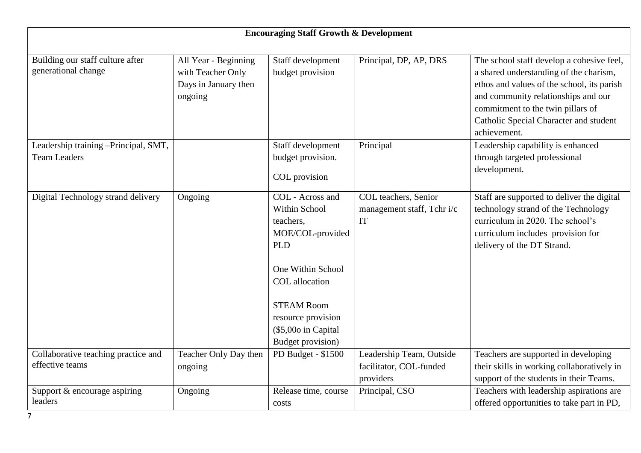|                                                             | <b>Encouraging Staff Growth &amp; Development</b>                            |                                                                                                                                                                                                                       |                                                                  |                                                                                                                                                                                                                                                                         |  |  |
|-------------------------------------------------------------|------------------------------------------------------------------------------|-----------------------------------------------------------------------------------------------------------------------------------------------------------------------------------------------------------------------|------------------------------------------------------------------|-------------------------------------------------------------------------------------------------------------------------------------------------------------------------------------------------------------------------------------------------------------------------|--|--|
|                                                             |                                                                              |                                                                                                                                                                                                                       |                                                                  |                                                                                                                                                                                                                                                                         |  |  |
| Building our staff culture after<br>generational change     | All Year - Beginning<br>with Teacher Only<br>Days in January then<br>ongoing | Staff development<br>budget provision                                                                                                                                                                                 | Principal, DP, AP, DRS                                           | The school staff develop a cohesive feel,<br>a shared understanding of the charism,<br>ethos and values of the school, its parish<br>and community relationships and our<br>commitment to the twin pillars of<br>Catholic Special Character and student<br>achievement. |  |  |
| Leadership training -Principal, SMT,<br><b>Team Leaders</b> |                                                                              | Staff development<br>budget provision.<br>COL provision                                                                                                                                                               | Principal                                                        | Leadership capability is enhanced<br>through targeted professional<br>development.                                                                                                                                                                                      |  |  |
| Digital Technology strand delivery                          | Ongoing                                                                      | COL - Across and<br>Within School<br>teachers,<br>MOE/COL-provided<br><b>PLD</b><br>One Within School<br>COL allocation<br><b>STEAM Room</b><br>resource provision<br>(\$5,000 in Capital<br><b>Budget provision)</b> | COL teachers, Senior<br>management staff, Tchr i/c<br>IT         | Staff are supported to deliver the digital<br>technology strand of the Technology<br>curriculum in 2020. The school's<br>curriculum includes provision for<br>delivery of the DT Strand.                                                                                |  |  |
| Collaborative teaching practice and<br>effective teams      | Teacher Only Day then<br>ongoing                                             | PD Budget - \$1500                                                                                                                                                                                                    | Leadership Team, Outside<br>facilitator, COL-funded<br>providers | Teachers are supported in developing<br>their skills in working collaboratively in<br>support of the students in their Teams.                                                                                                                                           |  |  |
| Support & encourage aspiring<br>leaders                     | Ongoing                                                                      | Release time, course<br>costs                                                                                                                                                                                         | Principal, CSO                                                   | Teachers with leadership aspirations are<br>offered opportunities to take part in PD,                                                                                                                                                                                   |  |  |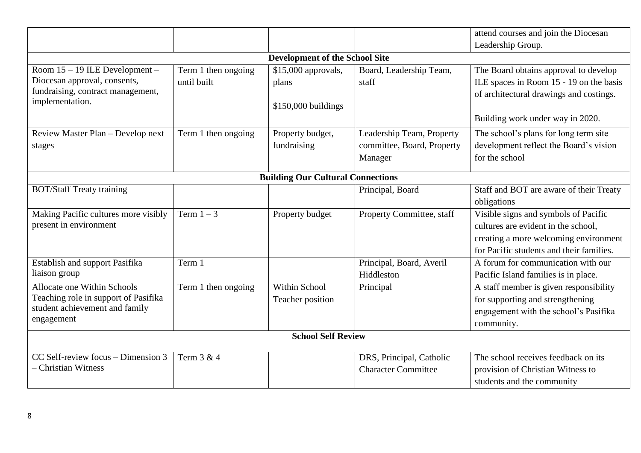|                                      |                     |                                          |                            | attend courses and join the Diocesan     |  |
|--------------------------------------|---------------------|------------------------------------------|----------------------------|------------------------------------------|--|
|                                      |                     |                                          |                            | Leadership Group.                        |  |
|                                      |                     | <b>Development of the School Site</b>    |                            |                                          |  |
| Room 15 – 19 ILE Development –       | Term 1 then ongoing | \$15,000 approvals,                      | Board, Leadership Team,    | The Board obtains approval to develop    |  |
| Diocesan approval, consents,         | until built         | plans                                    | staff                      | ILE spaces in Room 15 - 19 on the basis  |  |
| fundraising, contract management,    |                     |                                          |                            | of architectural drawings and costings.  |  |
| implementation.                      |                     | \$150,000 buildings                      |                            |                                          |  |
|                                      |                     |                                          |                            | Building work under way in 2020.         |  |
| Review Master Plan - Develop next    | Term 1 then ongoing | Property budget,                         | Leadership Team, Property  | The school's plans for long term site    |  |
| stages                               |                     | fundraising                              | committee, Board, Property | development reflect the Board's vision   |  |
|                                      |                     |                                          | Manager                    | for the school                           |  |
|                                      |                     | <b>Building Our Cultural Connections</b> |                            |                                          |  |
| <b>BOT/Staff Treaty training</b>     |                     |                                          | Principal, Board           | Staff and BOT are aware of their Treaty  |  |
|                                      |                     |                                          |                            | obligations                              |  |
| Making Pacific cultures more visibly | Term $1-3$          | Property budget                          | Property Committee, staff  | Visible signs and symbols of Pacific     |  |
| present in environment               |                     |                                          |                            | cultures are evident in the school,      |  |
|                                      |                     |                                          |                            | creating a more welcoming environment    |  |
|                                      |                     |                                          |                            | for Pacific students and their families. |  |
| Establish and support Pasifika       | Term 1              |                                          | Principal, Board, Averil   | A forum for communication with our       |  |
| liaison group                        |                     |                                          | Hiddleston                 | Pacific Island families is in place.     |  |
| Allocate one Within Schools          | Term 1 then ongoing | Within School                            | Principal                  | A staff member is given responsibility   |  |
| Teaching role in support of Pasifika |                     | Teacher position                         |                            | for supporting and strengthening         |  |
| student achievement and family       |                     |                                          |                            | engagement with the school's Pasifika    |  |
| engagement                           |                     |                                          |                            | community.                               |  |
| <b>School Self Review</b>            |                     |                                          |                            |                                          |  |
| CC Self-review focus – Dimension 3   | Term 3 & 4          |                                          | DRS, Principal, Catholic   | The school receives feedback on its      |  |
| <b>Christian Witness</b>             |                     |                                          | <b>Character Committee</b> | provision of Christian Witness to        |  |
|                                      |                     |                                          |                            | students and the community               |  |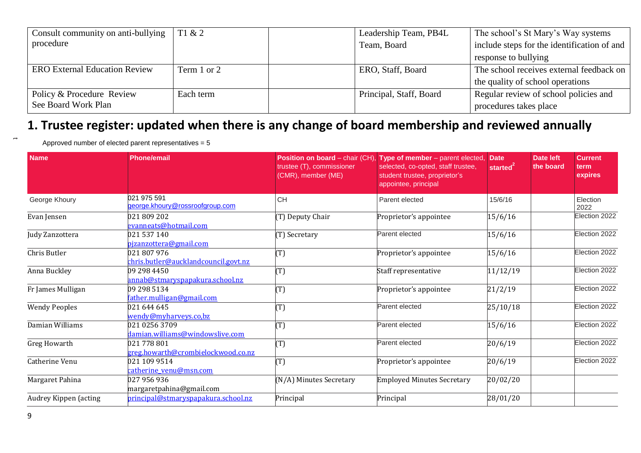| Consult community on anti-bullying   | T1 & 2      | Leadership Team, PB4L   | The school's St Mary's Way systems          |
|--------------------------------------|-------------|-------------------------|---------------------------------------------|
| procedure                            |             | Team, Board             | include steps for the identification of and |
|                                      |             |                         | response to bullying                        |
| <b>ERO External Education Review</b> | Term 1 or 2 | ERO, Staff, Board       | The school receives external feedback on    |
|                                      |             |                         | the quality of school operations            |
| Policy & Procedure Review            | Each term   | Principal, Staff, Board | Regular review of school policies and       |
| See Board Work Plan                  |             |                         | procedures takes place                      |

## **1. Trustee register: updated when there is any change of board membership and reviewed annually**

Approved number of elected parent representatives = 5

| <b>Name</b>           | <b>Phone/email</b>                                  | trustee (T), commissioner<br>(CMR), member (ME) | Position on board - chair (CH), Type of member - parent elected,<br>selected, co-opted, staff trustee,<br>student trustee, proprietor's<br>appointee, principal | <b>Date</b><br>started | <b>Date left</b><br>the board | <b>Current</b><br>term<br>expires |
|-----------------------|-----------------------------------------------------|-------------------------------------------------|-----------------------------------------------------------------------------------------------------------------------------------------------------------------|------------------------|-------------------------------|-----------------------------------|
| George Khoury         | 021 975 591<br>george.khoury@rossroofgroup.com      | <b>CH</b>                                       | Parent elected                                                                                                                                                  | 15/6/16                |                               | Election<br>2022                  |
| Evan Jensen           | 021 809 202<br>evanneats@hotmail.com                | (T) Deputy Chair                                | Proprietor's appointee                                                                                                                                          | 15/6/16                |                               | Election 2022                     |
| Judy Zanzottera       | 021 537 140<br>pizanzottera@gmail.com               | T) Secretary                                    | Parent elected                                                                                                                                                  | 15/6/16                |                               | Election 2022                     |
| Chris Butler          | 021 807 976<br>chris.butler@aucklandcouncil.govt.nz | T)                                              | Proprietor's appointee                                                                                                                                          | 15/6/16                |                               | Election 2022                     |
| Anna Buckley          | 09 298 4450<br>annab@stmaryspapakura.school.nz      | $\Gamma$                                        | Staff representative                                                                                                                                            | 11/12/19               |                               | Election 2022                     |
| Fr James Mulligan     | 09 298 5134<br>father.mulligan@gmail.com            | $\Gamma$                                        | Proprietor's appointee                                                                                                                                          | 21/2/19                |                               | Election 2022                     |
| <b>Wendy Peoples</b>  | 021 644 645<br>wendy@myharveys.co,bz                | T)                                              | Parent elected                                                                                                                                                  | 25/10/18               |                               | Election 2022                     |
| Damian Williams       | 021 0256 3709<br>damian.williams@windowslive.com    | T)                                              | Parent elected                                                                                                                                                  | 15/6/16                |                               | Election 2022                     |
| Greg Howarth          | 021 778 801<br>greg.howarth@crombielockwood.co.nz   | (T)                                             | Parent elected                                                                                                                                                  | 20/6/19                |                               | Election 2022                     |
| Catherine Venu        | 021 109 9514<br>catherine venu@msn.com              | T)                                              | Proprietor's appointee                                                                                                                                          | 20/6/19                |                               | Election 2022                     |
| Margaret Pahina       | 027 956 936<br>margaretpahina@gmail.com             | N/A) Minutes Secretary                          | <b>Employed Minutes Secretary</b>                                                                                                                               | 20/02/20               |                               |                                   |
| Audrey Kippen (acting | principal@stmaryspapakura.school.nz                 | Principal                                       | Principal                                                                                                                                                       | 28/01/20               |                               |                                   |

–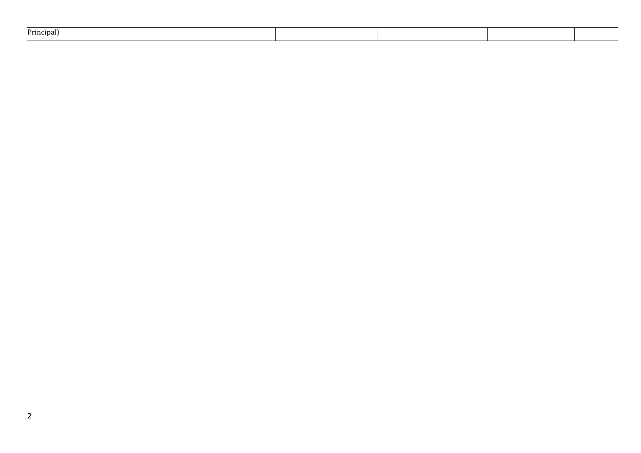| Principal) |  |  |  |  |  |  |
|------------|--|--|--|--|--|--|
|------------|--|--|--|--|--|--|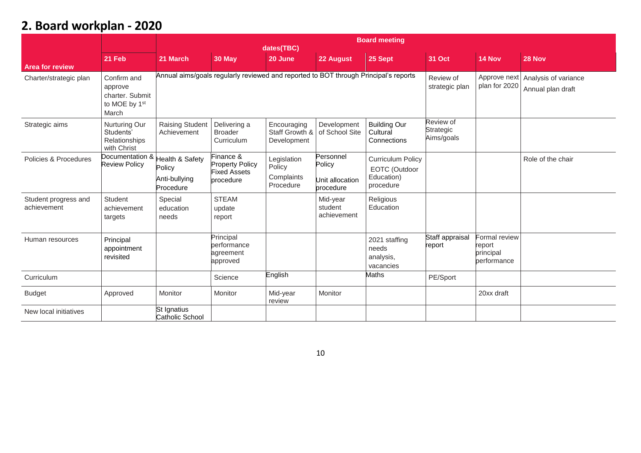## **2. Board workplan - 2020**

|                                     |                                                                                 | <b>Board meeting</b><br>dates(TBC)                      |                                                                                      |                                                  |                                                     |                                                                      |                                      |                                                     |                                           |
|-------------------------------------|---------------------------------------------------------------------------------|---------------------------------------------------------|--------------------------------------------------------------------------------------|--------------------------------------------------|-----------------------------------------------------|----------------------------------------------------------------------|--------------------------------------|-----------------------------------------------------|-------------------------------------------|
| <b>Area for review</b>              | 21 Feb                                                                          | 21 March                                                | 30 May                                                                               | 20 June                                          | 22 August                                           | 25 Sept                                                              | 31 Oct                               | 14 Nov                                              | 28 Nov                                    |
| Charter/strategic plan              | Confirm and<br>approve<br>charter. Submit<br>to MOE by 1 <sup>st</sup><br>March |                                                         | Annual aims/goals regularly reviewed and reported to BOT through Principal's reports |                                                  |                                                     |                                                                      | Review of<br>strategic plan          | Approve next<br>plan for 2020                       | Analysis of variance<br>Annual plan draft |
| Strategic aims                      | Nurturing Our<br>Students'<br>Relationships<br>with Christ                      | <b>Raising Student</b><br>Achievement                   | Delivering a<br><b>Broader</b><br>Curriculum                                         | Encouraging<br>Staff Growth &<br>Development     | Development<br>of School Site                       | <b>Building Our</b><br>Cultural<br>Connections                       | Review of<br>Strategic<br>Aims/goals |                                                     |                                           |
| Policies & Procedures               | Documentation &<br><b>Review Policy</b>                                         | lealth & Safety<br>Policy<br>Anti-bullying<br>Procedure | Finance &<br><b>Property Policy</b><br><b>Fixed Assets</b><br>procedure              | Legislation<br>Policy<br>Complaints<br>Procedure | Personnel<br>Policy<br>Unit allocation<br>procedure | <b>Curriculum Policy</b><br>EOTC (Outdoor<br>Education)<br>procedure |                                      |                                                     | Role of the chair                         |
| Student progress and<br>achievement | Student<br>achievement<br>targets                                               | Special<br>education<br>needs                           | <b>STEAM</b><br>update<br>report                                                     |                                                  | Mid-year<br>student<br>achievement                  | Religious<br>Education                                               |                                      |                                                     |                                           |
| Human resources                     | Principal<br>appointment<br>revisited                                           |                                                         | Principal<br>performance<br>agreement<br>approved                                    |                                                  |                                                     | 2021 staffing<br>needs<br>analysis,<br>vacancies                     | Staff appraisal<br>report            | Formal review<br>report<br>principal<br>performance |                                           |
| Curriculum                          |                                                                                 |                                                         | Science                                                                              | English                                          |                                                     | Maths                                                                | PE/Sport                             |                                                     |                                           |
| <b>Budget</b>                       | Approved                                                                        | Monitor                                                 | Monitor                                                                              | Mid-year<br>review                               | Monitor                                             |                                                                      |                                      | 20xx draft                                          |                                           |
| New local initiatives               |                                                                                 | St Ignatius<br><b>Catholic School</b>                   |                                                                                      |                                                  |                                                     |                                                                      |                                      |                                                     |                                           |

10